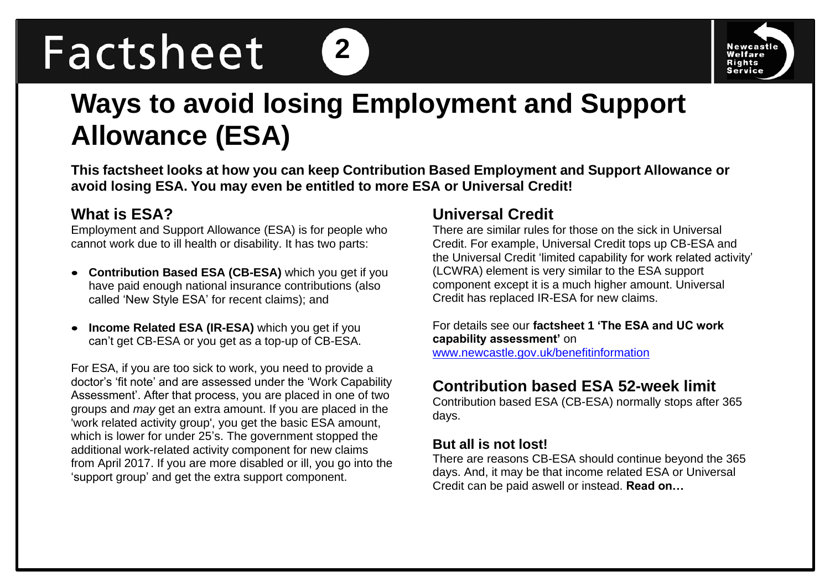# Factsheet



# **Ways to avoid losing Employment and Support Allowance (ESA)**

**2**

**This factsheet looks at how you can keep Contribution Based Employment and Support Allowance or avoid losing ESA. You may even be entitled to more ESA or Universal Credit!**

# **What is ESA?**

Employment and Support Allowance (ESA) is for people who cannot work due to ill health or disability. It has two parts:

- **Contribution Based ESA (CB-ESA)** which you get if you have paid enough national insurance contributions (also called 'New Style ESA' for recent claims); and
- **Income Related ESA (IR-ESA)** which you get if you can't get CB-ESA or you get as a top-up of CB-ESA.

For ESA, if you are too sick to work, you need to provide a doctor's 'fit note' and are assessed under the 'Work Capability Assessment'. After that process, you are placed in one of two groups and *may* get an extra amount. If you are placed in the 'work related activity group', you get the basic ESA amount, which is lower for under 25's. The government stopped the additional work-related activity component for new claims from April 2017. If you are more disabled or ill, you go into the 'support group' and get the extra support component.

# **Universal Credit**

There are similar rules for those on the sick in Universal Credit. For example, Universal Credit tops up CB-ESA and the Universal Credit 'limited capability for work related activity' (LCWRA) element is very similar to the ESA support component except it is a much higher amount. Universal Credit has replaced IR-ESA for new claims.

For details see our **factsheet 1 'The ESA and UC work capability assessment'** on [www.newcastle.gov.uk/benefitinformation](http://www.newcastle.gov.uk/benefitinformation) 

# **Contribution based ESA 52-week limit**

Contribution based ESA (CB-ESA) normally stops after 365 days.

#### **But all is not lost!**

There are reasons CB-ESA should continue beyond the 365 days. And, it may be that income related ESA or Universal Credit can be paid aswell or instead. **Read on…**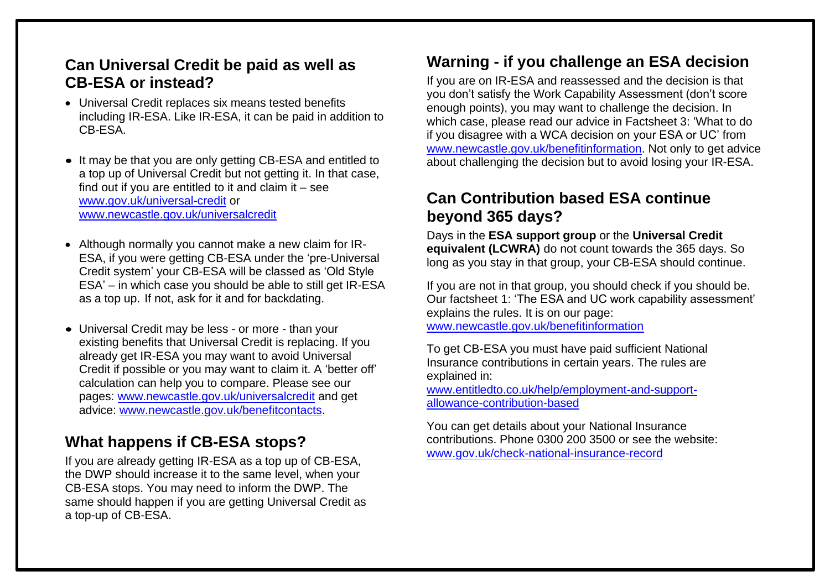# **Can Universal Credit be paid as well as CB-ESA or instead?**

- Universal Credit replaces six means tested benefits including IR-ESA. Like IR-ESA, it can be paid in addition to CB-ESA.
- It may be that you are only getting CB-ESA and entitled to a top up of Universal Credit but not getting it. In that case, find out if you are entitled to it and claim it  $-$  see [www.gov.uk/universal-credit](http://www.gov.uk/universal-credit) or [www.newcastle.gov.uk/universalcredit](http://www.newcastle.gov.uk/universalcredit)
- Although normally you cannot make a new claim for IR-ESA, if you were getting CB-ESA under the 'pre-Universal Credit system' your CB-ESA will be classed as 'Old Style ESA' – in which case you should be able to still get IR-ESA as a top up. If not, ask for it and for backdating.
- Universal Credit may be less or more than your existing benefits that Universal Credit is replacing. If you already get IR-ESA you may want to avoid Universal Credit if possible or you may want to claim it. A 'better off' calculation can help you to compare. Please see our pages: [www.newcastle.gov.uk/universalcredit](http://www.newcastle.gov.uk/universalcredit) and get advice: [www.newcastle.gov.uk/benefitcontacts.](http://www.newcastle.gov.uk/benefitcontacts)

# **What happens if CB-ESA stops?**

If you are already getting IR-ESA as a top up of CB-ESA, the DWP should increase it to the same level, when your CB-ESA stops. You may need to inform the DWP. The same should happen if you are getting Universal Credit as a top-up of CB-ESA.

# **Warning - if you challenge an ESA decision**

If you are on IR-ESA and reassessed and the decision is that you don't satisfy the Work Capability Assessment (don't score enough points), you may want to challenge the decision. In which case, please read our advice in Factsheet 3: 'What to do if you disagree with a WCA decision on your ESA or UC' from [www.newcastle.gov.uk/benefitinformation.](http://www.newcastle.gov.uk/benefitinformation) Not only to get advice about challenging the decision but to avoid losing your IR-ESA.

#### **Can Contribution based ESA continue beyond 365 days?**

Days in the **ESA support group** or the **Universal Credit equivalent (LCWRA)** do not count towards the 365 days. So long as you stay in that group, your CB-ESA should continue.

If you are not in that group, you should check if you should be. Our factsheet 1: 'The ESA and UC work capability assessment' explains the rules. It is on our page:

[www.newcastle.gov.uk/benefitinformation](http://www.newcastle.gov.uk/benefitinformation) 

To get CB-ESA you must have paid sufficient National Insurance contributions in certain years. The rules are explained in:

[www.entitledto.co.uk/help/employment-and-support](http://www.entitledto.co.uk/help/employment-and-support-allowance-contribution-based)[allowance-contribution-based](http://www.entitledto.co.uk/help/employment-and-support-allowance-contribution-based)

You can get details about your National Insurance contributions. Phone 0300 200 3500 or see the website: [www.gov.uk/check-national-insurance-record](http://www.gov.uk/check-national-insurance-record)